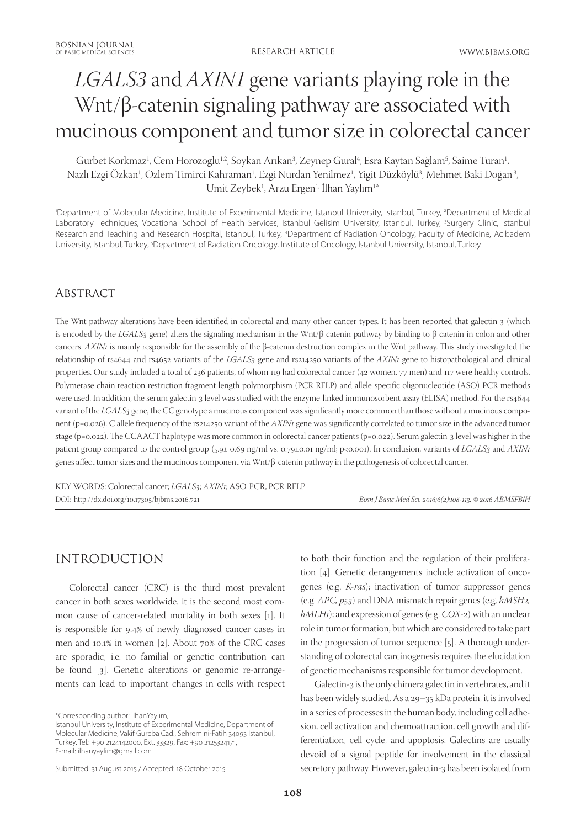# *LGALS3* and *AXIN1* gene variants playing role in the Wnt/β-catenin signaling pathway are associated with mucinous component and tumor size in colorectal cancer

Gurbet Korkmaz<sup>ı</sup>, Cem Horozoglu<sup>ı,2</sup>, Soykan Arıkan<sup>3</sup>, Zeynep Gural<sup>4</sup>, Esra Kaytan Sağlam<sup>5</sup>, Saime Turan<sup>ı</sup>, Nazlı Ezgi Ozkan<sup>1</sup>, Ozlem Timirci Kahraman<sup>1</sup>, Ezgi Nurdan Yenilmez<sup>1</sup>, Yigit Düzköylü<sup>3</sup>, Mehmet Baki Doğan<sup>3</sup>, Umit Zeybek<sup>ı</sup>, Arzu Ergen<sup>ı,</sup> İlhan Yaylım<sup>ı</sup>\*

'Department of Molecular Medicine, Institute of Experimental Medicine, Istanbul University, Istanbul, Turkey, <sup>2</sup>Department of Medical Laboratory Techniques, Vocational School of Health Services, Istanbul Gelisim University, Istanbul, Turkey, <sup>3</sup>Surgery Clinic, Istanbul Research and Teaching and Research Hospital, Istanbul, Turkey, <sup>4</sup>Department of Radiation Oncology, Faculty of Medicine, Acıbadem University, Istanbul, Turkey, <sup>5</sup>Department of Radiation Oncology, Institute of Oncology, Istanbul University, Istanbul, Turkey

## **ABSTRACT**

The Wnt pathway alterations have been identified in colorectal and many other cancer types. It has been reported that galectin-3 (which is encoded by the *LGALS3* gene) alters the signaling mechanism in the Wnt/β-catenin pathway by binding to β-catenin in colon and other cancers. *AXIN1* is mainly responsible for the assembly of the β-catenin destruction complex in the Wnt pathway. This study investigated the relationship of rs4644 and rs4652 variants of the *LGALS3* gene and rs214250 variants of the *AXIN1* gene to histopathological and clinical properties. Our study included a total of 236 patients, of whom 119 had colorectal cancer (42 women, 77 men) and 117 were healthy controls. Polymerase chain reaction restriction fragment length polymorphism (PCR-RFLP) and allele-specific oligonucleotide (ASO) PCR methods were used. In addition, the serum galectin-3 level was studied with the enzyme-linked immunosorbent assay (ELISA) method. For the rs4644 variant of the *LGALS3* gene, the CC genotype a mucinous component was significantly more common than those without a mucinous component (p=0.026). C allele frequency of the rs214250 variant of the *AXIN1* gene was significantly correlated to tumor size in the advanced tumor stage (p=0.022). The CCAACT haplotype was more common in colorectal cancer patients (p=0.022). Serum galectin-3 level was higher in the patient group compared to the control group (5.9± 0.69 ng/ml vs. 0.79±0.01 ng/ml; p<0.001). In conclusion, variants of *LGALS3* and *AXIN1* genes affect tumor sizes and the mucinous component via Wnt/β-catenin pathway in the pathogenesis of colorectal cancer.

KEY WORDS: Colorectal cancer; *LGALS3*; *AXIN1*; ASO-PCR, PCR-RFLP DOI: http://dx.doi.org/10.17305/bjbms.2016.721 *Bosn J Basic Med Sci. 2016;6(2):108-113. © 2016 ABMSFBIH*

## INTRODUCTION

Colorectal cancer (CRC) is the third most prevalent cancer in both sexes worldwide. It is the second most common cause of cancer-related mortality in both sexes [1]. It is responsible for 9.4% of newly diagnosed cancer cases in men and 10.1% in women [2]. About 70% of the CRC cases are sporadic, i.e. no familial or genetic contribution can be found [3]. Genetic alterations or genomic re-arrangements can lead to important changes in cells with respect

to both their function and the regulation of their proliferation [4]. Genetic derangements include activation of oncogenes (e.g. *K-ras*); inactivation of tumor suppressor genes (e.g. *APC, p53*) and DNA mismatch repair genes (e.g. *hMSH2, hMLH1*); and expression of genes (e.g. *COX-2*) with an unclear role in tumor formation, but which are considered to take part in the progression of tumor sequence [5]. A thorough understanding of colorectal carcinogenesis requires the elucidation of genetic mechanisms responsible for tumor development.

Galectin-3 is the only chimera galectin in vertebrates, and it has been widely studied. As a 29–35 kDa protein, it is involved in a series of processes in the human body, including cell adhesion, cell activation and chemoattraction, cell growth and differentiation, cell cycle, and apoptosis. Galectins are usually devoid of a signal peptide for involvement in the classical secretory pathway. However, galectin-3 has been isolated from

<sup>\*</sup>Corresponding author: İlhanYaylım,

Istanbul University, Institute of Experimental Medicine, Department of Molecular Medicine, Vakif Gureba Cad., Sehremini-Fatih 34093 Istanbul, Turkey. Tel.: +90 2124142000, Ext. 33329, Fax: +90 2125324171, E-mail: ilhanyaylim@gmail.com

Submitted: 31 August 2015 / Accepted: 18 October 2015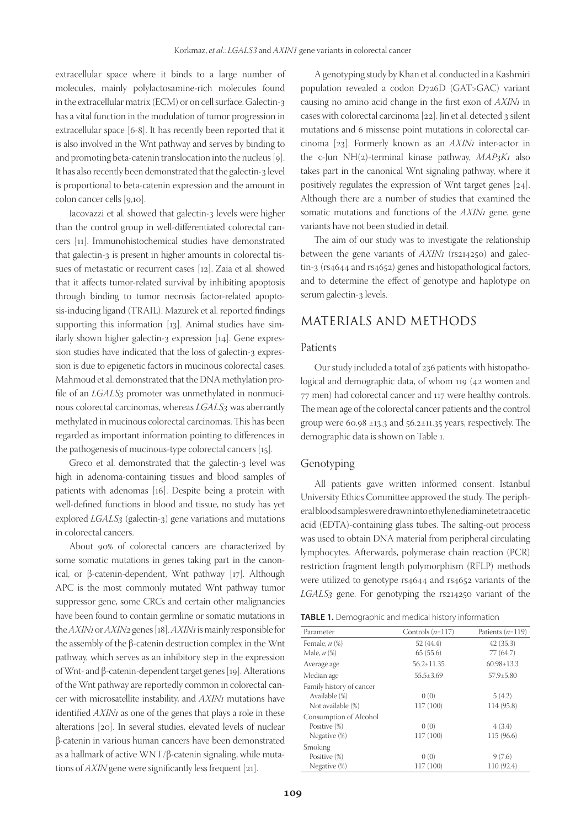extracellular space where it binds to a large number of molecules, mainly polylactosamine-rich molecules found in the extracellular matrix (ECM) or on cell surface. Galectin-3 has a vital function in the modulation of tumor progression in extracellular space [6-8]. It has recently been reported that it is also involved in the Wnt pathway and serves by binding to and promoting beta-catenin translocation into the nucleus [9]. It has also recently been demonstrated that the galectin-3 level is proportional to beta-catenin expression and the amount in colon cancer cells [9,10].

Iacovazzi et al. showed that galectin-3 levels were higher than the control group in well-differentiated colorectal cancers [11]. Immunohistochemical studies have demonstrated that galectin-3 is present in higher amounts in colorectal tissues of metastatic or recurrent cases [12]. Zaia et al. showed that it affects tumor-related survival by inhibiting apoptosis through binding to tumor necrosis factor-related apoptosis-inducing ligand (TRAIL). Mazurek et al. reported findings supporting this information [13]. Animal studies have similarly shown higher galectin-3 expression [14]. Gene expression studies have indicated that the loss of galectin-3 expression is due to epigenetic factors in mucinous colorectal cases. Mahmoud et al. demonstrated that the DNA methylation profile of an *LGALS3* promoter was unmethylated in nonmucinous colorectal carcinomas, whereas *LGALS3* was aberrantly methylated in mucinous colorectal carcinomas. This has been regarded as important information pointing to differences in the pathogenesis of mucinous-type colorectal cancers [15].

Greco et al. demonstrated that the galectin-3 level was high in adenoma-containing tissues and blood samples of patients with adenomas [16]. Despite being a protein with well-defined functions in blood and tissue, no study has yet explored *LGALS3* (galectin-3) gene variations and mutations in colorectal cancers.

About 90% of colorectal cancers are characterized by some somatic mutations in genes taking part in the canonical, or β-catenin-dependent, Wnt pathway [17]. Although APC is the most commonly mutated Wnt pathway tumor suppressor gene, some CRCs and certain other malignancies have been found to contain germline or somatic mutations in the *AXIN1* or *AXIN2* genes [18]. *AXIN1* is mainly responsible for the assembly of the β-catenin destruction complex in the Wnt pathway, which serves as an inhibitory step in the expression of Wnt- and β-catenin-dependent target genes [19]. Alterations of the Wnt pathway are reportedly common in colorectal cancer with microsatellite instability, and *AXIN1* mutations have identified *AXIN1* as one of the genes that plays a role in these alterations [20]. In several studies, elevated levels of nuclear β-catenin in various human cancers have been demonstrated as a hallmark of active WNT/β-catenin signaling, while mutations of *AXIN* gene were significantly less frequent [21].

A genotyping study by Khan et al. conducted in a Kashmiri population revealed a codon D726D (GAT>GAC) variant causing no amino acid change in the first exon of *AXIN1* in cases with colorectal carcinoma [22]. Jin et al. detected 3 silent mutations and 6 missense point mutations in colorectal carcinoma [23]. Formerly known as an *AXIN1* inter-actor in the c-Jun NH(2)-terminal kinase pathway, *MAP3K1* also takes part in the canonical Wnt signaling pathway, where it positively regulates the expression of Wnt target genes [24]. Although there are a number of studies that examined the somatic mutations and functions of the *AXIN1* gene, gene variants have not been studied in detail.

The aim of our study was to investigate the relationship between the gene variants of  $AXIN<sub>1</sub>$  (rs214250) and galectin-3 (rs4644 and rs4652) genes and histopathological factors, and to determine the effect of genotype and haplotype on serum galectin-3 levels.

## MATERIALS AND METHODS

#### Patients

Our study included a total of 236 patients with histopathological and demographic data, of whom 119 (42 women and 77 men) had colorectal cancer and 117 were healthy controls. The mean age of the colorectal cancer patients and the control group were 60.98 ±13.3 and 56.2±11.35 years, respectively. The demographic data is shown on Table 1.

#### Genotyping

All patients gave written informed consent. Istanbul University Ethics Committee approved the study. The peripheral blood samples were drawn into ethylenediaminetetraacetic acid (EDTA)-containing glass tubes. The salting-out process was used to obtain DNA material from peripheral circulating lymphocytes. Afterwards, polymerase chain reaction (PCR) restriction fragment length polymorphism (RFLP) methods were utilized to genotype rs4644 and rs4652 variants of the *LGALS3* gene. For genotyping the rs214250 variant of the

|  |  | TABLE 1. Demographic and medical history information |  |  |
|--|--|------------------------------------------------------|--|--|
|--|--|------------------------------------------------------|--|--|

| Parameter                | Controls $(n=117)$ | Patients $(n=119)$ |
|--------------------------|--------------------|--------------------|
| Female, $n$ $(\%)$       | 52 (44.4)          | 42(35.3)           |
| Male, $n$ $(\%)$         | 65(55.6)           | 77 (64.7)          |
| Average age              | $56.2 \pm 11.35$   | $60.98 \pm 13.3$   |
| Median age               | $55.5 + 3.69$      | $57.9 + 5.80$      |
| Family history of cancer |                    |                    |
| Available (%)            | 0(0)               | 5(4.2)             |
| Not available (%)        | 117 (100)          | 114 (95.8)         |
| Consumption of Alcohol   |                    |                    |
| Positive (%)             | 0(0)               | 4(3.4)             |
| Negative $(\%)$          | 117 (100)          | 115 (96.6)         |
| Smoking                  |                    |                    |
| Positive (%)             | 0(0)               | 9(7.6)             |
| Negative $(\%)$          | 117 (100)          | 110 (92.4)         |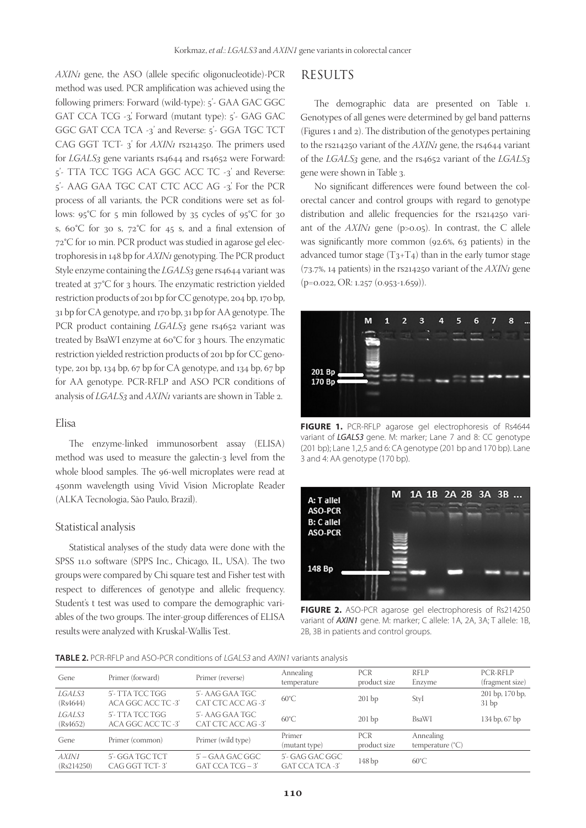*AXIN1* gene, the ASO (allele specific oligonucleotide)-PCR method was used. PCR amplification was achieved using the following primers: Forward (wild-type): 5'- GAA GAC GGC GAT CCA TCG -3', Forward (mutant type): 5'- GAG GAC GGC GAT CCA TCA -3' and Reverse: 5'- GGA TGC TCT CAG GGT TCT- 3' for *AXIN1* rs214250. The primers used for *LGALS3* gene variants rs4644 and rs4652 were Forward: 5'- TTA TCC TGG ACA GGC ACC TC -3' and Reverse: 5'- AAG GAA TGC CAT CTC ACC AG -3'. For the PCR process of all variants, the PCR conditions were set as follows:  $95^{\circ}$ C for 5 min followed by 35 cycles of  $95^{\circ}$ C for 30 s,  $60^{\circ}$ C for 30 s,  $72^{\circ}$ C for 45 s, and a final extension of 72°C for 10 min. PCR product was studied in agarose gel electrophoresis in 148 bp for *AXIN1* genotyping. The PCR product Style enzyme containing the *LGALS3* gene rs4644 variant was treated at 37°C for 3 hours. The enzymatic restriction yielded restriction products of 201 bp for CC genotype, 204 bp, 170 bp, 31 bp for CA genotype, and 170 bp, 31 bp for AA genotype. The PCR product containing *LGALS*3 gene rs4652 variant was treated by BsaWI enzyme at 60°C for 3 hours. The enzymatic restriction yielded restriction products of 201 bp for CC genotype, 201 bp, 134 bp, 67 bp for CA genotype, and 134 bp, 67 bp for AA genotype. PCR-RFLP and ASO PCR conditions of analysis of *LGALS3* and *AXIN1* variants are shown in Table 2.

#### Elisa

The enzyme-linked immunosorbent assay (ELISA) method was used to measure the galectin-3 level from the whole blood samples. The 96-well microplates were read at 450nm wavelength using Vivid Vision Microplate Reader (ALKA Tecnologia, São Paulo, Brazil).

#### Statistical analysis

Statistical analyses of the study data were done with the SPSS 11.0 software (SPPS Inc., Chicago, IL, USA). The two groups were compared by Chi square test and Fisher test with respect to differences of genotype and allelic frequency. Student's t test was used to compare the demographic variables of the two groups. The inter-group differences of ELISA results were analyzed with Kruskal-Wallis Test.

## RESULTS

The demographic data are presented on Table 1. Genotypes of all genes were determined by gel band patterns (Figures 1 and 2). The distribution of the genotypes pertaining to the rs214250 variant of the *AXIN1* gene, the rs4644 variant of the *LGALS3* gene, and the rs4652 variant of the *LGALS3* gene were shown in Table 3.

No significant differences were found between the colorectal cancer and control groups with regard to genotype distribution and allelic frequencies for the rs214250 variant of the *AXIN1* gene (p>0.05). In contrast, the C allele was significantly more common (92.6%, 63 patients) in the advanced tumor stage  $(T_3+T_4)$  than in the early tumor stage (73.7%, 14 patients) in the rs214250 variant of the *AXIN1* gene (p=0.022, OR: 1.257 (0.953-1.659)).



**FIGURE 1.** PCR-RFLP agarose gel electrophoresis of Rs4644 variant of *LGALS3* gene. M: marker; Lane 7 and 8: CC genotype (201 bp); Lane 1,2,5 and 6: CA genotype (201 bp and 170 bp). Lane 3 and 4: AA genotype (170 bp).



**FIGURE 2.** ASO-PCR agarose gel electrophoresis of Rs214250 variant of *AXIN1* gene. M: marker; C allele: 1A, 2A, 3A; T allele: 1B, 2B, 3B in patients and control groups.

#### **TABLE 2.** PCR-RFLP and ASO-PCR conditions of LGALS3 and AXIN1 variants analysis

| Primer (forward)                      | Primer (reverse)                         | Annealing<br>temperature                  | <b>PCR</b><br>product size | RFLP<br>Enzyme                         | PCR-RFLP<br>(fragment size) |
|---------------------------------------|------------------------------------------|-------------------------------------------|----------------------------|----------------------------------------|-----------------------------|
| 5'- TTA TCC TGG<br>ACA GGC ACC TC -3' | 5'- AAG GAA TGC<br>CAT CTC ACC AG-3'     | $60^{\circ}$ C                            | 201bp                      | StyI                                   | 201 bp, 170 bp,<br>31bp     |
| 5'- TTA TCC TGG<br>ACA GGC ACC TC-3'  | 5'- AAG GAA TGC<br>CAT CTC ACC AG-3'     | $60^{\circ}$ C                            | $201$ bp                   | <b>BsaWI</b>                           | 134 bp, 67 bp               |
| Primer (common)                       | Primer (wild type)                       | Primer<br>(mutant type)                   | <b>PCR</b><br>product size | Annealing<br>temperature $(^{\circ}C)$ |                             |
| 5'- GGA TGC TCT<br>CAG GGT TCT-3'     | $5'$ – GAA GAC GGC<br>$GAT CCA TCG - 3'$ | 5'- GAG GAC GGC<br><b>GAT CCA TCA -3'</b> | 148 <sub>bp</sub>          | $60^{\circ}$ C                         |                             |
|                                       |                                          |                                           |                            |                                        |                             |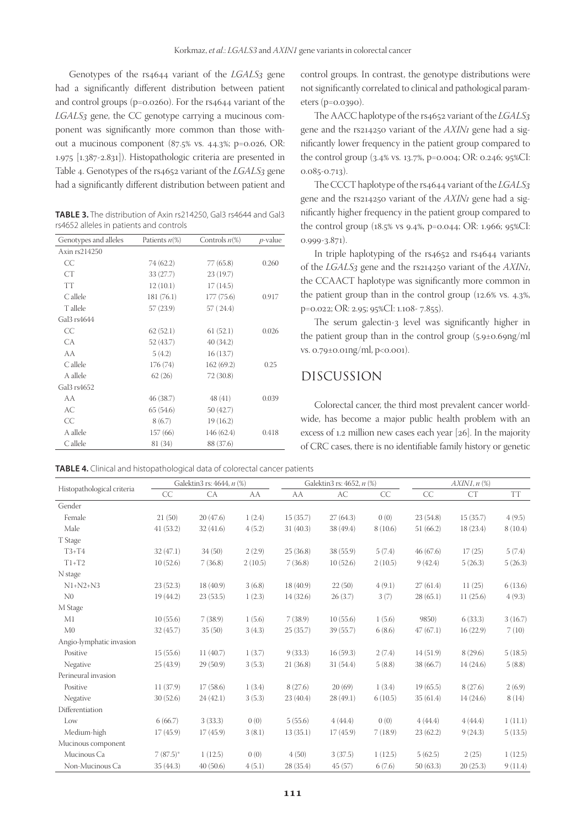Genotypes of the rs4644 variant of the *LGALS3* gene had a significantly different distribution between patient and control groups (p=0.0260). For the rs4644 variant of the *LGALS3* gene, the CC genotype carrying a mucinous component was significantly more common than those without a mucinous component (87.5% vs. 44.3%; p=0.026, OR: 1.975 [1.387-2.831]). Histopathologic criteria are presented in Table 4. Genotypes of the rs4652 variant of the *LGALS3* gene had a significantly different distribution between patient and

**TABLE 3.** The distribution of Axin rs214250, Gal3 rs4644 and Gal3 rs4652 alleles in patients and controls

| Genotypes and alleles   | Patients $n\%$ | Controls $n\ll 0$ | $p$ -value |
|-------------------------|----------------|-------------------|------------|
| Axin rs214250           |                |                   |            |
| CC                      | 74 (62.2)      | 77 (65.8)         | 0.260      |
| <b>CT</b>               | 33 (27.7)      | 23(19.7)          |            |
| <b>TT</b>               | 12(10.1)       | 17(14.5)          |            |
| $C$ allele              | 181 (76.1)     | 177(75.6)         | 0.917      |
| T allele                | 57(23.9)       | 57(24.4)          |            |
| Gal <sub>3</sub> rs4644 |                |                   |            |
| CC.                     | 62(52.1)       | 61(52.1)          | 0.026      |
| CA.                     | 52 (43.7)      | 40 (34.2)         |            |
| AA                      | 5(4.2)         | 16(13.7)          |            |
| C allele                | 176(74)        | 162(69.2)         | 0.25       |
| A allele                | 62(26)         | 72 (30.8)         |            |
| Gal <sub>3</sub> rs4652 |                |                   |            |
| AA                      | 46 (38.7)      | 48(41)            | 0.039      |
| AC                      | 65(54.6)       | 50 (42.7)         |            |
| CC                      | 8(6.7)         | 19(16.2)          |            |
| A allele                | 157(66)        | 146 (62.4)        | 0.418      |
| $C$ allele              | 81 (34)        | 88 (37.6)         |            |

control groups. In contrast, the genotype distributions were not significantly correlated to clinical and pathological parameters (p=0.0390).

The AACC haplotype of the rs4652 variant of the *LGALS3* gene and the rs214250 variant of the *AXIN1* gene had a significantly lower frequency in the patient group compared to the control group (3.4% vs. 13.7%, p=0.004; OR: 0.246; 95%CI: 0.085-0.713).

The CCCT haplotype of the rs4644 variant of the *LGALS3* gene and the rs214250 variant of the *AXIN1* gene had a significantly higher frequency in the patient group compared to the control group (18.5% vs 9.4%, p=0.044; OR: 1.966; 95%CI: 0.999-3.871).

In triple haplotyping of the rs4652 and rs4644 variants of the *LGALS3* gene and the rs214250 variant of the *AXIN1*, the CCAACT haplotype was significantly more common in the patient group than in the control group (12.6% vs. 4.3%, p=0.022; OR: 2.95; 95%CI: 1.108- 7.855).

The serum galectin-3 level was significantly higher in the patient group than in the control group (5.9±0.69ng/ml vs. 0.79±0.01ng/ml, p<0.001).

## DISCUSSION

Colorectal cancer, the third most prevalent cancer worldwide, has become a major public health problem with an excess of 1.2 million new cases each year [26]. In the majority of CRC cases, there is no identifiable family history or genetic

**TABLE 4.** Clinical and histopathological data of colorectal cancer patients

|                            |             | Galektin3 rs: 4644, n (%) |         |           | Galektin3 rs: 4652, n (%) |         |           | $AXIN1, n$ $(\%)$ |           |
|----------------------------|-------------|---------------------------|---------|-----------|---------------------------|---------|-----------|-------------------|-----------|
| Histopathological criteria | CC          | CA                        | AA      | AA        | AC                        | CC      | CC        | <b>CT</b>         | <b>TT</b> |
| Gender                     |             |                           |         |           |                           |         |           |                   |           |
| Female                     | 21(50)      | 20(47.6)                  | 1(2.4)  | 15(35.7)  | 27(64.3)                  | 0(0)    | 23(54.8)  | 15(35.7)          | 4(9.5)    |
| Male                       | 41(53.2)    | 32(41.6)                  | 4(5.2)  | 31(40.3)  | 38 (49.4)                 | 8(10.6) | 51(66.2)  | 18(23.4)          | 8(10.4)   |
| T Stage                    |             |                           |         |           |                           |         |           |                   |           |
| $T3+T4$                    | 32(47.1)    | 34(50)                    | 2(2.9)  | 25(36.8)  | 38(55.9)                  | 5(7.4)  | 46(67.6)  | 17(25)            | 5(7.4)    |
| $T1+T2$                    | 10(52.6)    | 7(36.8)                   | 2(10.5) | 7(36.8)   | 10(52.6)                  | 2(10.5) | 9(42.4)   | 5(26.3)           | 5(26.3)   |
| N stage                    |             |                           |         |           |                           |         |           |                   |           |
| $N1+N2+N3$                 | 23(52.3)    | 18 (40.9)                 | 3(6.8)  | 18 (40.9) | 22(50)                    | 4(9.1)  | 27(61.4)  | 11(25)            | 6(13.6)   |
| N <sub>0</sub>             | 19(44.2)    | 23(53.5)                  | 1(2.3)  | 14(32.6)  | 26(3.7)                   | 3(7)    | 28(65.1)  | 11(25.6)          | 4(9.3)    |
| M Stage                    |             |                           |         |           |                           |         |           |                   |           |
| M1                         | 10(55.6)    | 7(38.9)                   | 1(5.6)  | 7(38.9)   | 10(55.6)                  | 1(5.6)  | 9850)     | 6(33.3)           | 3(16.7)   |
| M <sub>0</sub>             | 32(45.7)    | 35(50)                    | 3(4.3)  | 25(35.7)  | 39(55.7)                  | 6(8.6)  | 47(67.1)  | 16(22.9)          | 7(10)     |
| Angio-lymphatic invasion   |             |                           |         |           |                           |         |           |                   |           |
| Positive                   | 15(55.6)    | 11(40.7)                  | 1(3.7)  | 9(33.3)   | 16(59.3)                  | 2(7.4)  | 14(51.9)  | 8(29.6)           | 5(18.5)   |
| Negative                   | 25(43.9)    | 29(50.9)                  | 3(5.3)  | 21(36.8)  | 31(54.4)                  | 5(8.8)  | 38 (66.7) | 14(24.6)          | 5(8.8)    |
| Perineural invasion        |             |                           |         |           |                           |         |           |                   |           |
| Positive                   | 11(37.9)    | 17(58.6)                  | 1(3.4)  | 8(27.6)   | 20(69)                    | 1(3.4)  | 19(65.5)  | 8(27.6)           | 2(6.9)    |
| Negative                   | 30(52.6)    | 24(42.1)                  | 3(5.3)  | 23 (40.4) | 28(49.1)                  | 6(10.5) | 35(61.4)  | 14(24.6)          | 8(14)     |
| Differentiation            |             |                           |         |           |                           |         |           |                   |           |
| Low                        | 6(66.7)     | 3(33.3)                   | 0(0)    | 5(55.6)   | 4(44.4)                   | 0(0)    | 4(44.4)   | 4(44.4)           | 1(11.1)   |
| Medium-high                | 17(45.9)    | 17(45.9)                  | 3(8.1)  | 13(35.1)  | 17(45.9)                  | 7(18.9) | 23(62.2)  | 9(24.3)           | 5(13.5)   |
| Mucinous component         |             |                           |         |           |                           |         |           |                   |           |
| Mucinous Ca                | $7(87.5)^*$ | 1(12.5)                   | 0(0)    | 4(50)     | 3(37.5)                   | 1(12.5) | 5(62.5)   | 2(25)             | 1(12.5)   |
| Non-Mucinous Ca            | 35(44.3)    | 40(50.6)                  | 4(5.1)  | 28 (35.4) | 45(57)                    | 6(7.6)  | 50(63.3)  | 20(25.3)          | 9(11.4)   |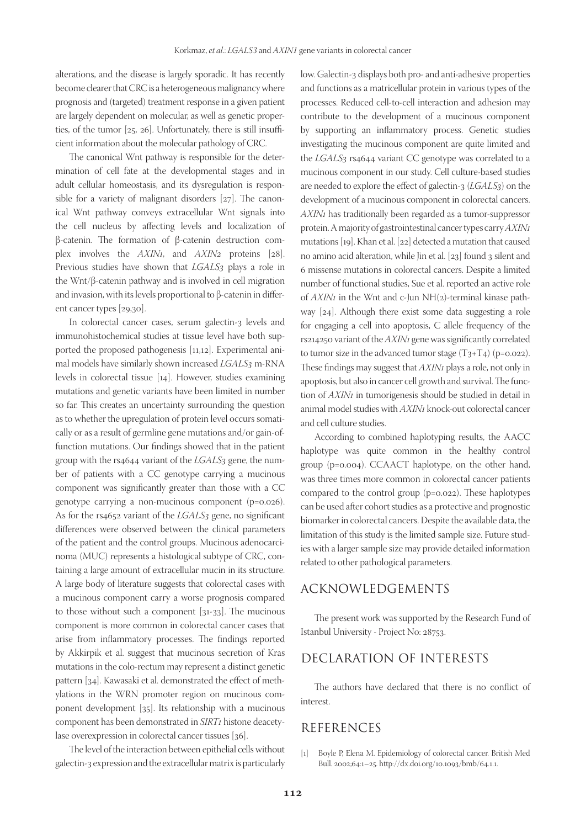alterations, and the disease is largely sporadic. It has recently become clearer that CRC is a heterogeneous malignancy where prognosis and (targeted) treatment response in a given patient are largely dependent on molecular, as well as genetic properties, of the tumor [25, 26]. Unfortunately, there is still insufficient information about the molecular pathology of CRC.

The canonical Wnt pathway is responsible for the determination of cell fate at the developmental stages and in adult cellular homeostasis, and its dysregulation is responsible for a variety of malignant disorders [27]. The canonical Wnt pathway conveys extracellular Wnt signals into the cell nucleus by affecting levels and localization of β-catenin. The formation of β-catenin destruction complex involves the *AXIN1*, and *AXIN2* proteins [28]. Previous studies have shown that *LGALS3* plays a role in the Wnt/β-catenin pathway and is involved in cell migration and invasion, with its levels proportional to β-catenin in different cancer types [29,30].

In colorectal cancer cases, serum galectin-3 levels and immunohistochemical studies at tissue level have both supported the proposed pathogenesis [11,12]. Experimental animal models have similarly shown increased *LGALS3* m-RNA levels in colorectal tissue [14]. However, studies examining mutations and genetic variants have been limited in number so far. This creates an uncertainty surrounding the question as to whether the upregulation of protein level occurs somatically or as a result of germline gene mutations and/or gain-offunction mutations. Our findings showed that in the patient group with the rs4644 variant of the *LGALS3* gene, the number of patients with a CC genotype carrying a mucinous component was significantly greater than those with a CC genotype carrying a non-mucinous component (p=0.026). As for the rs4652 variant of the *LGALS3* gene, no significant differences were observed between the clinical parameters of the patient and the control groups. Mucinous adenocarcinoma (MUC) represents a histological subtype of CRC, containing a large amount of extracellular mucin in its structure. A large body of literature suggests that colorectal cases with a mucinous component carry a worse prognosis compared to those without such a component [31-33]. The mucinous component is more common in colorectal cancer cases that arise from inflammatory processes. The findings reported by Akkirpik et al. suggest that mucinous secretion of Kras mutations in the colo-rectum may represent a distinct genetic pattern [34]. Kawasaki et al. demonstrated the effect of methylations in the WRN promoter region on mucinous component development [35]. Its relationship with a mucinous component has been demonstrated in *SIRT1* histone deacetylase overexpression in colorectal cancer tissues [36].

The level of the interaction between epithelial cells without galectin-3 expression and the extracellular matrix is particularly low. Galectin-3 displays both pro- and anti-adhesive properties and functions as a matricellular protein in various types of the processes. Reduced cell-to-cell interaction and adhesion may contribute to the development of a mucinous component by supporting an inflammatory process. Genetic studies investigating the mucinous component are quite limited and the *LGALS3* rs4644 variant CC genotype was correlated to a mucinous component in our study. Cell culture-based studies are needed to explore the effect of galectin-3 (*LGALS3*) on the development of a mucinous component in colorectal cancers. *AXIN1* has traditionally been regarded as a tumor-suppressor protein. A majority of gastrointestinal cancer types carry *AXIN1* mutations [19]. Khan et al. [22] detected a mutation that caused no amino acid alteration, while Jin et al. [23] found 3 silent and 6 missense mutations in colorectal cancers. Despite a limited number of functional studies, Sue et al. reported an active role of *AXIN1* in the Wnt and c-Jun NH(2)-terminal kinase pathway [24]. Although there exist some data suggesting a role for engaging a cell into apoptosis, C allele frequency of the rs214250 variant of the *AXIN1* gene was significantly correlated to tumor size in the advanced tumor stage  $(T_3+T_4)$  (p=0.022). These findings may suggest that *AXIN1* plays a role, not only in apoptosis, but also in cancer cell growth and survival. The function of *AXIN1* in tumorigenesis should be studied in detail in animal model studies with *AXIN1* knock-out colorectal cancer and cell culture studies.

According to combined haplotyping results, the AACC haplotype was quite common in the healthy control group (p=0.004). CCAACT haplotype, on the other hand, was three times more common in colorectal cancer patients compared to the control group (p=0.022). These haplotypes can be used after cohort studies as a protective and prognostic biomarker in colorectal cancers. Despite the available data, the limitation of this study is the limited sample size. Future studies with a larger sample size may provide detailed information related to other pathological parameters.

## ACKNOWLEDGEMENTS

The present work was supported by the Research Fund of Istanbul University - Project No: 28753.

## DECLARATION OF INTERESTS

The authors have declared that there is no conflict of interest.

### REFERENCES

[1] Boyle P, Elena M. Epidemiology of colorectal cancer. British Med Bull. 2002;64:1–25. http://dx.doi.org/10.1093/bmb/64.1.1.